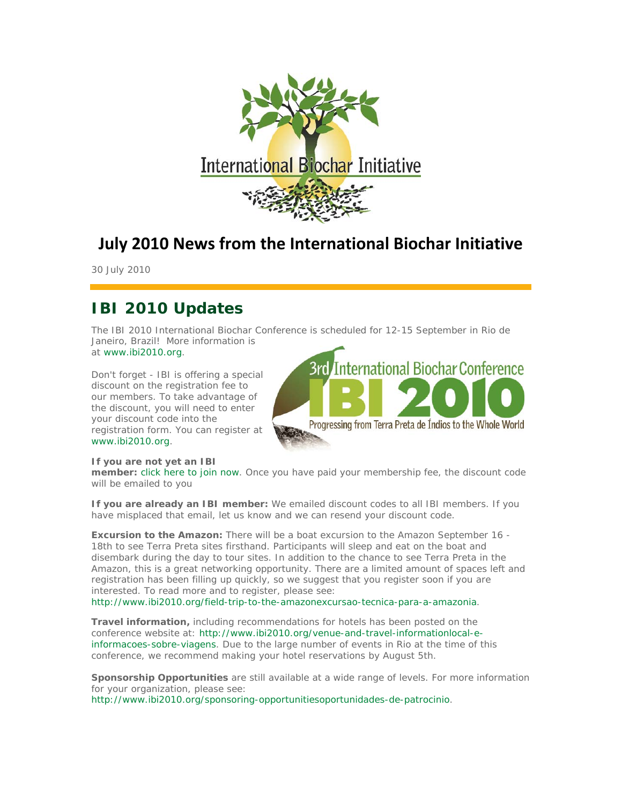

# **July 2010 News from the International Biochar Initiative**

30 July 2010

## **IBI 2010 Updates**

The IBI 2010 International Biochar Conference is scheduled for 12-15 September in Rio de Janeiro, Brazil! More information is at www.ibi2010.org.

Don't forget - IBI is offering a special discount on the registration fee to our members. To take advantage of the discount, you will need to enter your discount code into the registration form. You can register at www.ibi2010.org.



#### *If you are not yet an IBI*

*member:* click here to join now. Once you have paid your membership fee, the discount code will be emailed to you

*If you are already an IBI member:* We emailed discount codes to all IBI members. If you have misplaced that email, let us know and we can resend your discount code.

**Excursion to the Amazon:** There will be a boat excursion to the Amazon September 16 -18th to see Terra Preta sites firsthand. Participants will sleep and eat on the boat and disembark during the day to tour sites. In addition to the chance to see Terra Preta in the Amazon, this is a great networking opportunity. There are a limited amount of spaces left and registration has been filling up quickly, so we suggest that you register soon if you are interested. To read more and to register, please see:

http://www.ibi2010.org/field-trip-to-the-amazonexcursao-tecnica-para-a-amazonia.

*Travel information,* including recommendations for hotels has been posted on the conference website at: http://www.ibi2010.org/venue-and-travel-informationlocal-einformacoes-sobre-viagens. Due to the large number of events in Rio at the time of this conference, we recommend making your hotel reservations by August 5th.

**Sponsorship Opportunities** are still available at a wide range of levels. For more information for your organization, please see:

http://www.ibi2010.org/sponsoring-opportunitiesoportunidades-de-patrocinio.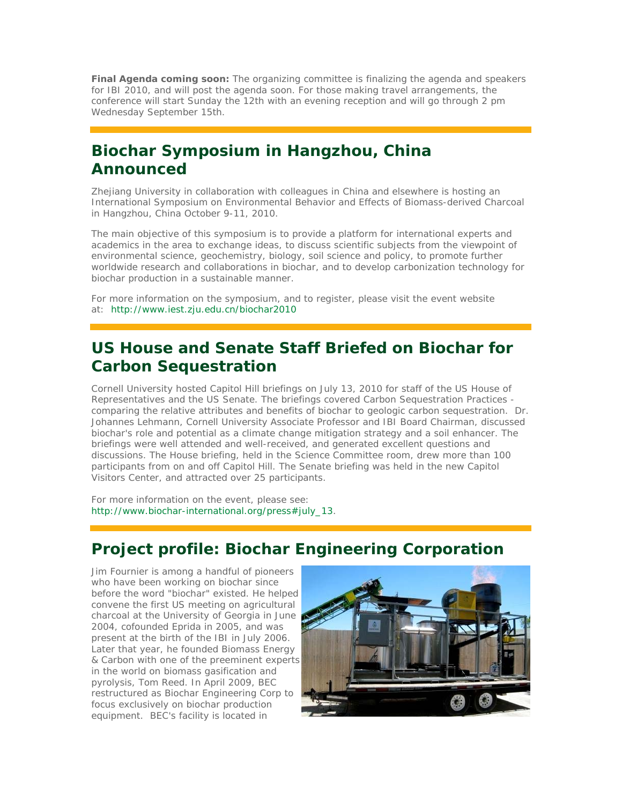*Final Agenda coming soon:* The organizing committee is finalizing the agenda and speakers for IBI 2010, and will post the agenda soon. For those making travel arrangements, the conference will start Sunday the 12th with an evening reception and will go through 2 pm Wednesday September 15th.

## **Biochar Symposium in Hangzhou, China Announced**

Zhejiang University in collaboration with colleagues in China and elsewhere is hosting an International Symposium on Environmental Behavior and Effects of Biomass-derived Charcoal in Hangzhou, China October 9-11, 2010.

The main objective of this symposium is to provide a platform for international experts and academics in the area to exchange ideas, to discuss scientific subjects from the viewpoint of environmental science, geochemistry, biology, soil science and policy, to promote further worldwide research and collaborations in biochar, and to develop carbonization technology for biochar production in a sustainable manner.

For more information on the symposium, and to register, please visit the event website at: http://www.iest.zju.edu.cn/biochar2010

## **US House and Senate Staff Briefed on Biochar for Carbon Sequestration**

Cornell University hosted Capitol Hill briefings on July 13, 2010 for staff of the US House of Representatives and the US Senate. The briefings covered Carbon Sequestration Practices comparing the relative attributes and benefits of biochar to geologic carbon sequestration. Dr. Johannes Lehmann, Cornell University Associate Professor and IBI Board Chairman, discussed biochar's role and potential as a climate change mitigation strategy and a soil enhancer. The briefings were well attended and well-received, and generated excellent questions and discussions. The House briefing, held in the Science Committee room, drew more than 100 participants from on and off Capitol Hill. The Senate briefing was held in the new Capitol Visitors Center, and attracted over 25 participants.

For more information on the event, please see: http://www.biochar-international.org/press#july\_13.

## **Project profile: Biochar Engineering Corporation**

Jim Fournier is among a handful of pioneers who have been working on biochar since before the word "biochar" existed. He helped convene the first US meeting on agricultural charcoal at the University of Georgia in June 2004, cofounded Eprida in 2005, and was present at the birth of the IBI in July 2006. Later that year, he founded Biomass Energy & Carbon with one of the preeminent experts in the world on biomass gasification and pyrolysis, Tom Reed. In April 2009, BEC restructured as Biochar Engineering Corp to focus exclusively on biochar production equipment. BEC's facility is located in

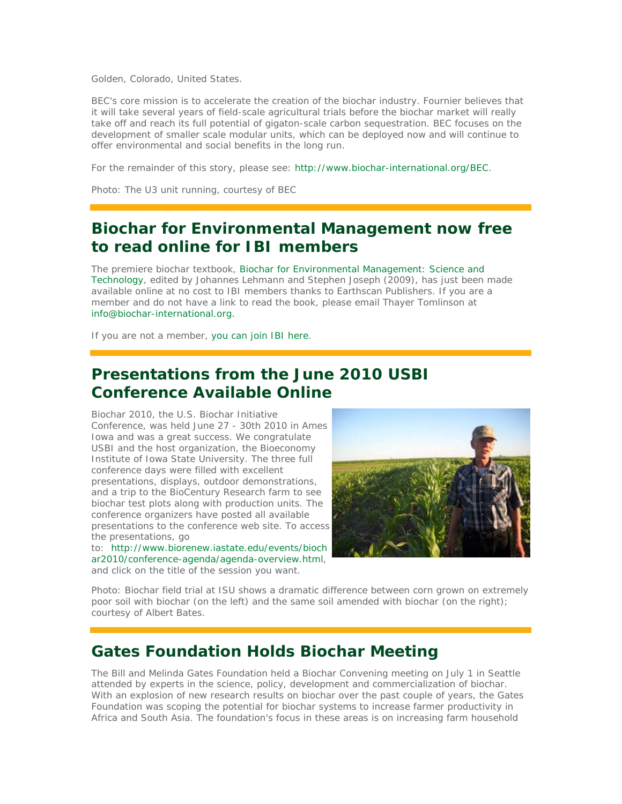Golden, Colorado, United States.

BEC's core mission is to accelerate the creation of the biochar industry. Fournier believes that it will take several years of field-scale agricultural trials before the biochar market will really take off and reach its full potential of gigaton-scale carbon sequestration. BEC focuses on the development of smaller scale modular units, which can be deployed now and will continue to offer environmental and social benefits in the long run.

For the remainder of this story, please see: http://www.biochar-international.org/BEC.

*Photo: The U3 unit running, courtesy of BEC*

## **Biochar for Environmental Management now free to read online for IBI members**

The premiere biochar textbook, Biochar for Environmental Management: Science and Technology, edited by Johannes Lehmann and Stephen Joseph (2009), has just been made available online at no cost to IBI members thanks to Earthscan Publishers. If you are a member and do not have a link to read the book, please email Thayer Tomlinson at info@biochar-international.org.

If you are not a member, you can join IBI here.

### **Presentations from the June 2010 USBI Conference Available Online**

Biochar 2010, the U.S. Biochar Initiative Conference, was held June 27 - 30th 2010 in Ames Iowa and was a great success. We congratulate USBI and the host organization, the Bioeconomy Institute of Iowa State University. The three full conference days were filled with excellent presentations, displays, outdoor demonstrations, and a trip to the BioCentury Research farm to see biochar test plots along with production units. The conference organizers have posted all available presentations to the conference web site. To access the presentations, go

to: http://www.biorenew.iastate.edu/events/bioch ar2010/conference-agenda/agenda-overview.html, and click on the title of the session you want.



*Photo: Biochar field trial at ISU shows a dramatic difference between corn grown on extremely poor soil with biochar (on the left) and the same soil amended with biochar (on the right); courtesy of Albert Bates.*

### **Gates Foundation Holds Biochar Meeting**

The Bill and Melinda Gates Foundation held a Biochar Convening meeting on July 1 in Seattle attended by experts in the science, policy, development and commercialization of biochar. With an explosion of new research results on biochar over the past couple of years, the Gates Foundation was scoping the potential for biochar systems to increase farmer productivity in Africa and South Asia. The foundation's focus in these areas is on increasing farm household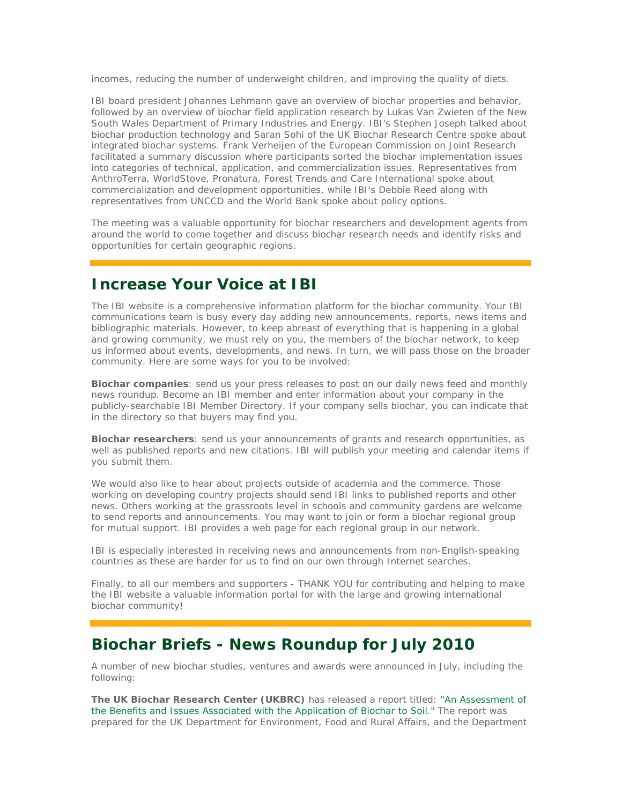incomes, reducing the number of underweight children, and improving the quality of diets.

IBI board president Johannes Lehmann gave an overview of biochar properties and behavior, followed by an overview of biochar field application research by Lukas Van Zwieten of the New South Wales Department of Primary Industries and Energy. IBI's Stephen Joseph talked about biochar production technology and Saran Sohi of the UK Biochar Research Centre spoke about integrated biochar systems. Frank Verheijen of the European Commission on Joint Research facilitated a summary discussion where participants sorted the biochar implementation issues into categories of technical, application, and commercialization issues. Representatives from AnthroTerra, WorldStove, Pronatura, Forest Trends and Care International spoke about commercialization and development opportunities, while IBI's Debbie Reed along with representatives from UNCCD and the World Bank spoke about policy options.

The meeting was a valuable opportunity for biochar researchers and development agents from around the world to come together and discuss biochar research needs and identify risks and opportunities for certain geographic regions.

### **Increase Your Voice at IBI**

The IBI website is a comprehensive information platform for the biochar community. Your IBI communications team is busy every day adding new announcements, reports, news items and bibliographic materials. However, to keep abreast of everything that is happening in a global and growing community, we must rely on you, the members of the biochar network, to keep us informed about events, developments, and news. In turn, we will pass those on the broader community. Here are some ways for you to be involved:

**Biochar companies**: send us your press releases to post on our daily news feed and monthly news roundup. Become an IBI member and enter information about your company in the publicly-searchable IBI Member Directory. If your company sells biochar, you can indicate that in the directory so that buyers may find you.

**Biochar researchers**: send us your announcements of grants and research opportunities, as well as published reports and new citations. IBI will publish your meeting and calendar items if you submit them.

We would also like to hear about projects outside of academia and the commerce. Those working on developing country projects should send IBI links to published reports and other news. Others working at the grassroots level in schools and community gardens are welcome to send reports and announcements. You may want to join or form a biochar regional group for mutual support. IBI provides a web page for each regional group in our network.

IBI is especially interested in receiving news and announcements from non-English-speaking countries as these are harder for us to find on our own through Internet searches.

Finally, to all our members and supporters - THANK YOU for contributing and helping to make the IBI website a valuable information portal for with the large and growing international biochar community!

#### **Biochar Briefs - News Roundup for July 2010**

A number of new biochar studies, ventures and awards were announced in July, including the following:

*The UK Biochar Research Center (UKBRC)* has released a report titled: "An Assessment of the Benefits and Issues Associated with the Application of Biochar to Soil." The report was prepared for the UK Department for Environment, Food and Rural Affairs, and the Department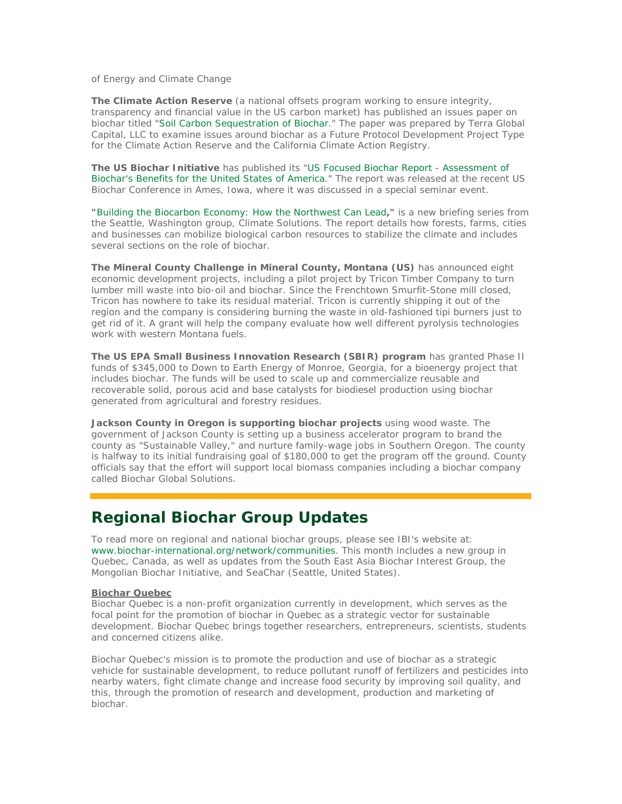of Energy and Climate Change

*The Climate Action Reserve* (a national offsets program working to ensure integrity, transparency and financial value in the US carbon market) has published an issues paper on biochar titled "Soil Carbon Sequestration of Biochar." The paper was prepared by Terra Global Capital, LLC to examine issues around biochar as a Future Protocol Development Project Type for the Climate Action Reserve and the California Climate Action Registry.

*The US Biochar Initiative* has published its "US Focused Biochar Report - Assessment of Biochar's Benefits for the United States of America." The report was released at the recent US Biochar Conference in Ames, Iowa, where it was discussed in a special seminar event.

*"Building the Biocarbon Economy: How the Northwest Can Lead,"* is a new briefing series from the Seattle, Washington group, Climate Solutions. The report details how forests, farms, cities and businesses can mobilize biological carbon resources to stabilize the climate and includes several sections on the role of biochar.

*The Mineral County Challenge in Mineral County, Montana (US)* **has announced eight** economic development projects, including a pilot project by Tricon Timber Company to turn lumber mill waste into bio-oil and biochar. Since the Frenchtown Smurfit-Stone mill closed, Tricon has nowhere to take its residual material. Tricon is currently shipping it out of the region and the company is considering burning the waste in old-fashioned tipi burners just to get rid of it. A grant will help the company evaluate how well different pyrolysis technologies work with western Montana fuels.

**The US EPA Small Business Innovation Research (SBIR) program** has granted Phase II funds of \$345,000 to Down to Earth Energy of Monroe, Georgia, for a bioenergy project that includes biochar. The funds will be used to scale up and commercialize reusable and recoverable solid, porous acid and base catalysts for biodiesel production using biochar generated from agricultural and forestry residues.

Jackson County in Oregon is supporting biochar projects using wood waste. The government of Jackson County is setting up a business accelerator program to brand the county as "Sustainable Valley," and nurture family-wage jobs in Southern Oregon. The county is halfway to its initial fundraising goal of \$180,000 to get the program off the ground. County officials say that the effort will support local biomass companies including a biochar company called Biochar Global Solutions.

### **Regional Biochar Group Updates**

To read more on regional and national biochar groups, please see IBI's website at: www.biochar-international.org/network/communities. This month includes a new group in Quebec, Canada, as well as updates from the South East Asia Biochar Interest Group, the Mongolian Biochar Initiative, and SeaChar (Seattle, United States).

#### **Biochar Quebec**

Biochar Quebec is a non-profit organization currently in development, which serves as the focal point for the promotion of biochar in Quebec as a strategic vector for sustainable development. Biochar Quebec brings together researchers, entrepreneurs, scientists, students and concerned citizens alike.

Biochar Quebec's mission is to promote the production and use of biochar as a strategic vehicle for sustainable development, to reduce pollutant runoff of fertilizers and pesticides into nearby waters, fight climate change and increase food security by improving soil quality, and this, through the promotion of research and development, production and marketing of biochar.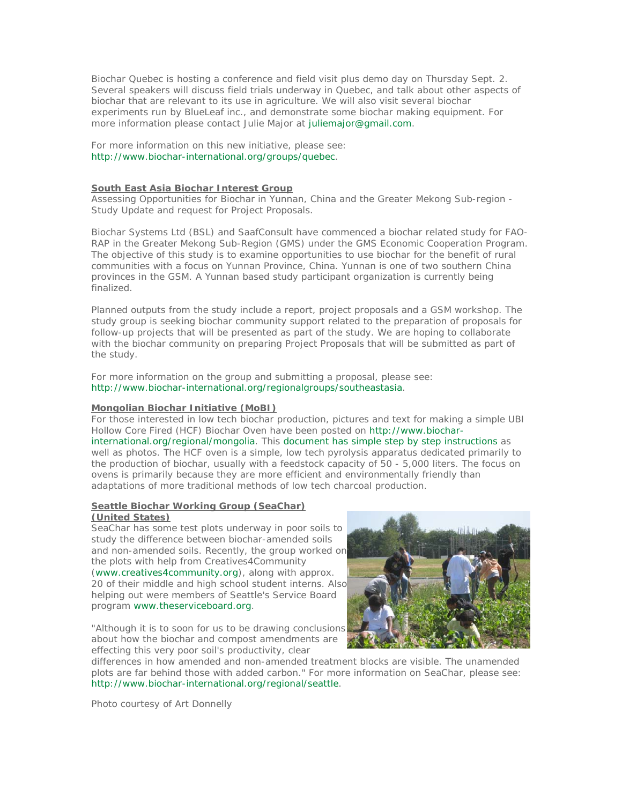Biochar Quebec is hosting a conference and field visit plus demo day on Thursday Sept. 2. Several speakers will discuss field trials underway in Quebec, and talk about other aspects of biochar that are relevant to its use in agriculture. We will also visit several biochar experiments run by BlueLeaf inc., and demonstrate some biochar making equipment. For more information please contact Julie Major at juliemajor@gmail.com.

For more information on this new initiative, please see: http://www.biochar-international.org/groups/quebec.

#### **South East Asia Biochar Interest Group**

Assessing Opportunities for Biochar in Yunnan, China and the Greater Mekong Sub-region - Study Update and request for Project Proposals.

Biochar Systems Ltd (BSL) and SaafConsult have commenced a biochar related study for FAO-RAP in the Greater Mekong Sub-Region (GMS) under the GMS Economic Cooperation Program. The objective of this study is to examine opportunities to use biochar for the benefit of rural communities with a focus on Yunnan Province, China. Yunnan is one of two southern China provinces in the GSM. A Yunnan based study participant organization is currently being finalized.

Planned outputs from the study include a report, project proposals and a GSM workshop. The study group is seeking biochar community support related to the preparation of proposals for follow-up projects that will be presented as part of the study. We are hoping to collaborate with the biochar community on preparing Project Proposals that will be submitted as part of the study.

For more information on the group and submitting a proposal, please see: http://www.biochar-international.org/regionalgroups/southeastasia.

#### **Mongolian Biochar Initiative (MoBI)**

For those interested in low tech biochar production, pictures and text for making a simple UBI Hollow Core Fired (HCF) Biochar Oven have been posted on http://www.biocharinternational.org/regional/mongolia. This document has simple step by step instructions as well as photos. The HCF oven is a simple, low tech pyrolysis apparatus dedicated primarily to the production of biochar, usually with a feedstock capacity of 50 - 5,000 liters. The focus on ovens is primarily because they are more efficient and environmentally friendly than adaptations of more traditional methods of low tech charcoal production.

#### **Seattle Biochar Working Group (SeaChar)**

#### **(United States)**

SeaChar has some test plots underway in poor soils to study the difference between biochar-amended soils and non-amended soils. Recently, the group worked on the plots with help from Creatives4Community (www.creatives4community.org), along with approx. 20 of their middle and high school student interns. Also helping out were members of Seattle's Service Board program www.theserviceboard.org.

"Although it is to soon for us to be drawing conclusions about how the biochar and compost amendments are effecting this very poor soil's productivity, clear



differences in how amended and non-amended treatment blocks are visible. The unamended plots are far behind those with added carbon." For more information on SeaChar, please see: http://www.biochar-international.org/regional/seattle.

*Photo courtesy of Art Donnelly*